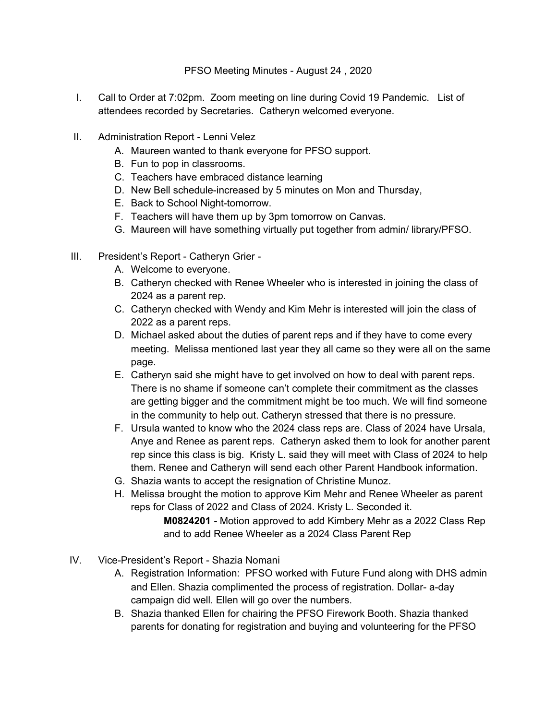## PFSO Meeting Minutes - August 24 , 2020

- I. Call to Order at 7:02pm. Zoom meeting on line during Covid 19 Pandemic. List of attendees recorded by Secretaries. Catheryn welcomed everyone.
- II. Administration Report Lenni Velez
	- A. Maureen wanted to thank everyone for PFSO support.
	- B. Fun to pop in classrooms.
	- C. Teachers have embraced distance learning
	- D. New Bell schedule-increased by 5 minutes on Mon and Thursday,
	- E. Back to School Night-tomorrow.
	- F. Teachers will have them up by 3pm tomorrow on Canvas.
	- G. Maureen will have something virtually put together from admin/ library/PFSO.
- III. President's Report Catheryn Grier
	- A. Welcome to everyone.
	- B. Catheryn checked with Renee Wheeler who is interested in joining the class of 2024 as a parent rep.
	- C. Catheryn checked with Wendy and Kim Mehr is interested will join the class of 2022 as a parent reps.
	- D. Michael asked about the duties of parent reps and if they have to come every meeting. Melissa mentioned last year they all came so they were all on the same page.
	- E. Catheryn said she might have to get involved on how to deal with parent reps. There is no shame if someone can't complete their commitment as the classes are getting bigger and the commitment might be too much. We will find someone in the community to help out. Catheryn stressed that there is no pressure.
	- F. Ursula wanted to know who the 2024 class reps are. Class of 2024 have Ursala, Anye and Renee as parent reps. Catheryn asked them to look for another parent rep since this class is big. Kristy L. said they will meet with Class of 2024 to help them. Renee and Catheryn will send each other Parent Handbook information.
	- G. Shazia wants to accept the resignation of Christine Munoz.
	- H. Melissa brought the motion to approve Kim Mehr and Renee Wheeler as parent reps for Class of 2022 and Class of 2024. Kristy L. Seconded it. **M0824201 -** Motion approved to add Kimbery Mehr as a 2022 Class Rep and to add Renee Wheeler as a 2024 Class Parent Rep
- IV. Vice-President's Report Shazia Nomani
	- A. Registration Information: PFSO worked with Future Fund along with DHS admin and Ellen. Shazia complimented the process of registration. Dollar- a-day campaign did well. Ellen will go over the numbers.
	- B. Shazia thanked Ellen for chairing the PFSO Firework Booth. Shazia thanked parents for donating for registration and buying and volunteering for the PFSO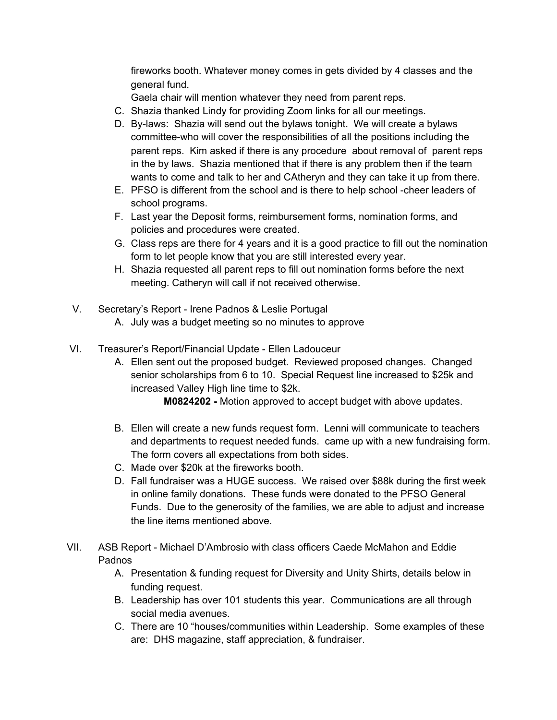fireworks booth. Whatever money comes in gets divided by 4 classes and the general fund.

Gaela chair will mention whatever they need from parent reps.

- C. Shazia thanked Lindy for providing Zoom links for all our meetings.
- D. By-laws: Shazia will send out the bylaws tonight. We will create a bylaws committee-who will cover the responsibilities of all the positions including the parent reps. Kim asked if there is any procedure about removal of parent reps in the by laws. Shazia mentioned that if there is any problem then if the team wants to come and talk to her and CAtheryn and they can take it up from there.
- E. PFSO is different from the school and is there to help school -cheer leaders of school programs.
- F. Last year the Deposit forms, reimbursement forms, nomination forms, and policies and procedures were created.
- G. Class reps are there for 4 years and it is a good practice to fill out the nomination form to let people know that you are still interested every year.
- H. Shazia requested all parent reps to fill out nomination forms before the next meeting. Catheryn will call if not received otherwise.
- V. Secretary's Report Irene Padnos & Leslie Portugal A. July was a budget meeting so no minutes to approve
- VI. Treasurer's Report/Financial Update Ellen Ladouceur
	- A. Ellen sent out the proposed budget. Reviewed proposed changes. Changed senior scholarships from 6 to 10. Special Request line increased to \$25k and increased Valley High line time to \$2k.

**M0824202 -** Motion approved to accept budget with above updates.

- B. Ellen will create a new funds request form. Lenni will communicate to teachers and departments to request needed funds. came up with a new fundraising form. The form covers all expectations from both sides.
- C. Made over \$20k at the fireworks booth.
- D. Fall fundraiser was a HUGE success. We raised over \$88k during the first week in online family donations. These funds were donated to the PFSO General Funds. Due to the generosity of the families, we are able to adjust and increase the line items mentioned above.
- VII. ASB Report Michael D'Ambrosio with class officers Caede McMahon and Eddie Padnos
	- A. Presentation & funding request for Diversity and Unity Shirts, details below in funding request.
	- B. Leadership has over 101 students this year. Communications are all through social media avenues.
	- C. There are 10 "houses/communities within Leadership. Some examples of these are: DHS magazine, staff appreciation, & fundraiser.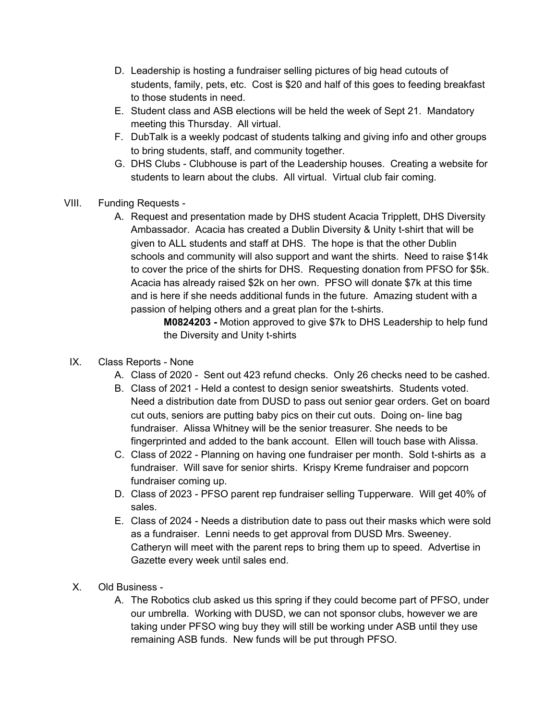- D. Leadership is hosting a fundraiser selling pictures of big head cutouts of students, family, pets, etc. Cost is \$20 and half of this goes to feeding breakfast to those students in need.
- E. Student class and ASB elections will be held the week of Sept 21. Mandatory meeting this Thursday. All virtual.
- F. DubTalk is a weekly podcast of students talking and giving info and other groups to bring students, staff, and community together.
- G. DHS Clubs Clubhouse is part of the Leadership houses. Creating a website for students to learn about the clubs. All virtual. Virtual club fair coming.
- VIII. Funding Requests
	- A. Request and presentation made by DHS student Acacia Tripplett, DHS Diversity Ambassador. Acacia has created a Dublin Diversity & Unity t-shirt that will be given to ALL students and staff at DHS. The hope is that the other Dublin schools and community will also support and want the shirts. Need to raise \$14k to cover the price of the shirts for DHS. Requesting donation from PFSO for \$5k. Acacia has already raised \$2k on her own. PFSO will donate \$7k at this time and is here if she needs additional funds in the future. Amazing student with a passion of helping others and a great plan for the t-shirts.

**M0824203 -** Motion approved to give \$7k to DHS Leadership to help fund the Diversity and Unity t-shirts

- IX. Class Reports None
	- A. Class of 2020 Sent out 423 refund checks. Only 26 checks need to be cashed.
	- B. Class of 2021 Held a contest to design senior sweatshirts. Students voted. Need a distribution date from DUSD to pass out senior gear orders. Get on board cut outs, seniors are putting baby pics on their cut outs. Doing on- line bag fundraiser. Alissa Whitney will be the senior treasurer. She needs to be fingerprinted and added to the bank account. Ellen will touch base with Alissa.
	- C. Class of 2022 Planning on having one fundraiser per month. Sold t-shirts as a fundraiser. Will save for senior shirts. Krispy Kreme fundraiser and popcorn fundraiser coming up.
	- D. Class of 2023 PFSO parent rep fundraiser selling Tupperware. Will get 40% of sales.
	- E. Class of 2024 Needs a distribution date to pass out their masks which were sold as a fundraiser. Lenni needs to get approval from DUSD Mrs. Sweeney. Catheryn will meet with the parent reps to bring them up to speed. Advertise in Gazette every week until sales end.
- X. Old Business
	- A. The Robotics club asked us this spring if they could become part of PFSO, under our umbrella. Working with DUSD, we can not sponsor clubs, however we are taking under PFSO wing buy they will still be working under ASB until they use remaining ASB funds. New funds will be put through PFSO.